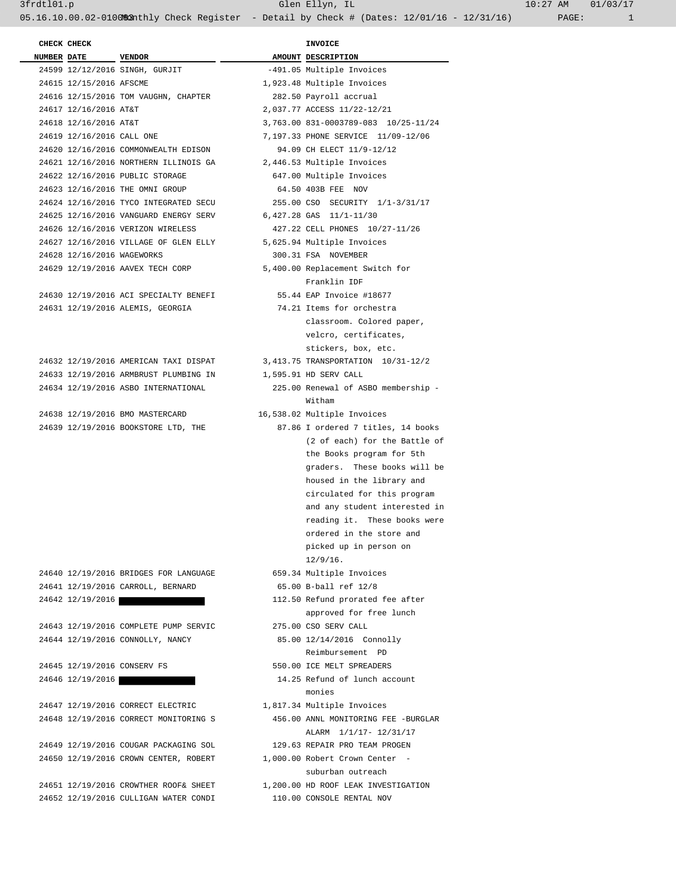| <b>NUMBER DATE</b>         | <b>VENDOR</b>                         | AMOUNT DESCRIPTION                  |
|----------------------------|---------------------------------------|-------------------------------------|
|                            | 24599 12/12/2016 SINGH, GURJIT        | -491.05 Multiple Invoices           |
| 24615 12/15/2016 AFSCME    |                                       | 1,923.48 Multiple Invoices          |
|                            | 24616 12/15/2016 TOM VAUGHN, CHAPTER  | 282.50 Payroll accrual              |
| 24617 12/16/2016 AT&T      |                                       | 2,037.77 ACCESS 11/22-12/21         |
| 24618 12/16/2016 AT&T      |                                       | 3,763.00 831-0003789-083 10/25-11/2 |
| 24619 12/16/2016 CALL ONE  |                                       | 7,197.33 PHONE SERVICE 11/09-12/06  |
|                            | 24620 12/16/2016 COMMONWEALTH EDISON  | 94.09 CH ELECT 11/9-12/12           |
|                            | 24621 12/16/2016 NORTHERN ILLINOIS GA | 2,446.53 Multiple Invoices          |
|                            | 24622 12/16/2016 PUBLIC STORAGE       | 647.00 Multiple Invoices            |
|                            | 24623 12/16/2016 THE OMNI GROUP       | 64.50 403B FEE NOV                  |
|                            | 24624 12/16/2016 TYCO INTEGRATED SECU | 255.00 CSO SECURITY 1/1-3/31/17     |
|                            | 24625 12/16/2016 VANGUARD ENERGY SERV | 6,427.28 GAS 11/1-11/30             |
|                            | 24626 12/16/2016 VERIZON WIRELESS     | 427.22 CELL PHONES 10/27-11/26      |
|                            | 24627 12/16/2016 VILLAGE OF GLEN ELLY | 5,625.94 Multiple Invoices          |
| 24628 12/16/2016 WAGEWORKS |                                       | 300.31 FSA NOVEMBER                 |
|                            | 24629 12/19/2016 AAVEX TECH CORP      | 5,400.00 Replacement Switch for     |
|                            |                                       | Franklin IDF                        |
|                            | 24630 12/19/2016 ACI SPECIALTY BENEFI | 55.44 EAP Invoice #18677            |
|                            | 24631 12/19/2016 ALEMIS, GEORGIA      | 74.21 Items for orchestra           |
|                            |                                       | classroom. Colored paper,           |
|                            |                                       | velcro, certificates,               |
|                            |                                       | stickers, box, etc.                 |
|                            | 24632 12/19/2016 AMERICAN TAXI DISPAT | 3, 413.75 TRANSPORTATION 10/31-12/2 |
|                            | 24633 12/19/2016 ARMBRUST PLUMBING IN | 1,595.91 HD SERV CALL               |
|                            | 24634 12/19/2016 ASBO INTERNATIONAL   | 225.00 Renewal of ASBO membership   |
|                            |                                       | Witham                              |

 24651 12/19/2016 CROWTHER ROOF& SHEET 1,200.00 HD ROOF LEAK INVESTIGATION 24652 12/19/2016 CULLIGAN WATER CONDI 110.00 CONSOLE RENTAL NOV

| CHECK CHECK                |                                                                            | <b>INVOICE</b>                                    |
|----------------------------|----------------------------------------------------------------------------|---------------------------------------------------|
| NUMBER DATE VENDOR         |                                                                            | AMOUNT DESCRIPTION                                |
|                            | 24599 12/12/2016 SINGH, GURJIT                                             | -491.05 Multiple Invoices                         |
| 24615 12/15/2016 AFSCME    |                                                                            | 1,923.48 Multiple Invoices                        |
|                            | 24616 12/15/2016 TOM VAUGHN, CHAPTER                                       | 282.50 Payroll accrual                            |
| 24617 12/16/2016 AT&T      |                                                                            | 2,037.77 ACCESS 11/22-12/21                       |
| 24618 12/16/2016 AT&T      |                                                                            | 3,763.00 831-0003789-083 10/25-11/24              |
| 24619 12/16/2016 CALL ONE  |                                                                            | 7,197.33 PHONE SERVICE 11/09-12/06                |
|                            | 24620 12/16/2016 COMMONWEALTH EDISON                                       | 94.09 CH ELECT 11/9-12/12                         |
|                            | 24621 12/16/2016 NORTHERN ILLINOIS GA                                      | 2,446.53 Multiple Invoices                        |
|                            | 24622 12/16/2016 PUBLIC STORAGE                                            | 647.00 Multiple Invoices<br>64.50 403B FEE NOV    |
|                            | 24623 12/16/2016 THE OMNI GROUP<br>24624 12/16/2016 TYCO INTEGRATED SECU   |                                                   |
|                            |                                                                            | 255.00 CSO SECURITY 1/1-3/31/17                   |
|                            | 24625 12/16/2016 VANGUARD ENERGY SERV                                      | 6,427.28 GAS 11/1-11/30                           |
|                            | 24626 12/16/2016 VERIZON WIRELESS<br>24627 12/16/2016 VILLAGE OF GLEN ELLY | 427.22 CELL PHONES 10/27-11/26                    |
|                            |                                                                            | 5,625.94 Multiple Invoices<br>300.31 FSA NOVEMBER |
| 24628 12/16/2016 WAGEWORKS |                                                                            | 5,400.00 Replacement Switch for                   |
|                            | 24629 12/19/2016 AAVEX TECH CORP                                           | Franklin IDF                                      |
|                            | 24630 12/19/2016 ACI SPECIALTY BENEFI                                      | 55.44 EAP Invoice #18677                          |
|                            | 24631 12/19/2016 ALEMIS, GEORGIA                                           | 74.21 Items for orchestra                         |
|                            |                                                                            | classroom. Colored paper,                         |
|                            |                                                                            | velcro, certificates,                             |
|                            |                                                                            | stickers, box, etc.                               |
|                            | 24632 12/19/2016 AMERICAN TAXI DISPAT                                      | 3, 413.75 TRANSPORTATION 10/31-12/2               |
|                            | 24633 12/19/2016 ARMBRUST PLUMBING IN                                      | 1,595.91 HD SERV CALL                             |
|                            | 24634 12/19/2016 ASBO INTERNATIONAL                                        | 225.00 Renewal of ASBO membership -<br>Witham     |
|                            | 24638 12/19/2016 BMO MASTERCARD                                            | 16,538.02 Multiple Invoices                       |
|                            | 24639 12/19/2016 BOOKSTORE LTD, THE                                        | 87.86 I ordered 7 titles, 14 books                |
|                            |                                                                            | (2 of each) for the Battle of                     |
|                            |                                                                            | the Books program for 5th                         |
|                            |                                                                            | graders. These books will be                      |
|                            |                                                                            | housed in the library and                         |
|                            |                                                                            | circulated for this program                       |
|                            |                                                                            | and any student interested in                     |
|                            |                                                                            | reading it. These books were                      |
|                            |                                                                            | ordered in the store and                          |
|                            |                                                                            | picked up in person on                            |
|                            |                                                                            | $12/9/16$ .                                       |
|                            | 24640 12/19/2016 BRIDGES FOR LANGUAGE                                      | 659.34 Multiple Invoices                          |
|                            | 24641 12/19/2016 CARROLL, BERNARD                                          | 65.00 B-ball ref 12/8                             |
|                            | 24642 12/19/2016                                                           | 112.50 Refund prorated fee after                  |
|                            |                                                                            | approved for free lunch                           |
|                            | 24643 12/19/2016 COMPLETE PUMP SERVIC                                      | 275.00 CSO SERV CALL                              |
|                            | 24644 12/19/2016 CONNOLLY, NANCY                                           | 85.00 12/14/2016 Connolly                         |
|                            |                                                                            | Reimbursement PD                                  |
|                            | 24645 12/19/2016 CONSERV FS                                                | 550.00 ICE MELT SPREADERS                         |
|                            | 24646 12/19/2016                                                           | 14.25 Refund of lunch account                     |
|                            |                                                                            | monies                                            |
|                            | 24647 12/19/2016 CORRECT ELECTRIC                                          | 1,817.34 Multiple Invoices                        |
|                            | 24648 12/19/2016 CORRECT MONITORING S                                      | 456.00 ANNL MONITORING FEE -BURGLAR               |
|                            |                                                                            | ALARM 1/1/17- 12/31/17                            |
|                            | 24649 12/19/2016 COUGAR PACKAGING SOL                                      | 129.63 REPAIR PRO TEAM PROGEN                     |
|                            | 24650 12/19/2016 CROWN CENTER, ROBERT                                      | 1,000.00 Robert Crown Center -                    |
|                            |                                                                            | suburban outreach                                 |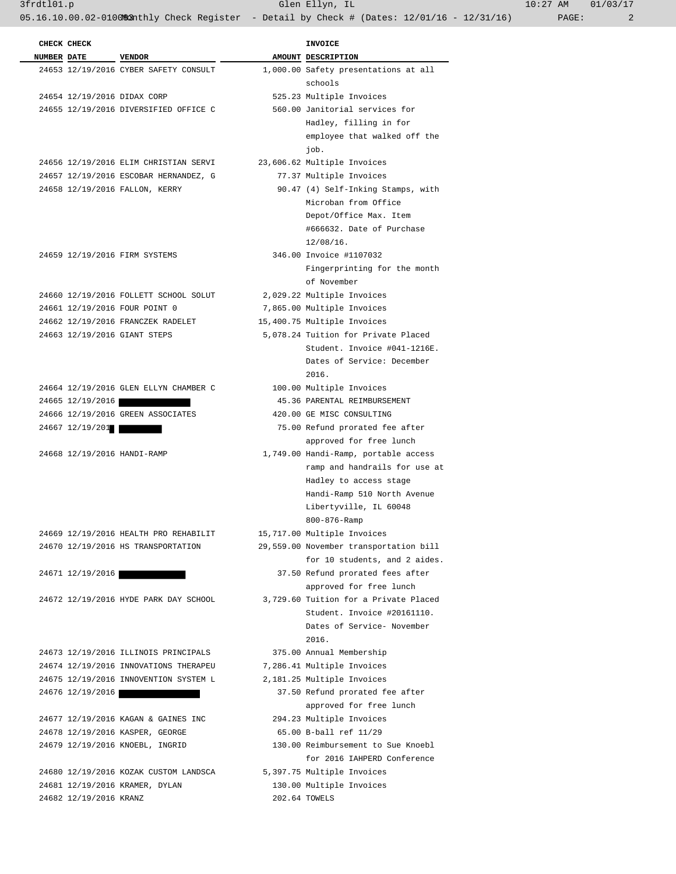3frdtl01.p Glen Ellyn, IL 10:27 AM 01/03/17

05.16.10.00.02-010083 Athly Check Register - Detail by Check # (Dates: 12/01/16 - 12/31/16) PAGE: 2

|                    | CHECK CHECK                 |                                       | <b>INVOICE</b>                                                        |
|--------------------|-----------------------------|---------------------------------------|-----------------------------------------------------------------------|
| <b>NUMBER DATE</b> |                             | <b>VENDOR</b>                         | AMOUNT DESCRIPTION                                                    |
|                    |                             | 24653 12/19/2016 CYBER SAFETY CONSULT | 1,000.00 Safety presentations at all                                  |
|                    |                             |                                       | schools                                                               |
|                    | 24654 12/19/2016 DIDAX CORP |                                       | 525.23 Multiple Invoices                                              |
|                    |                             | 24655 12/19/2016 DIVERSIFIED OFFICE C | 560.00 Janitorial services for                                        |
|                    |                             |                                       | Hadley, filling in for                                                |
|                    |                             |                                       | employee that walked off the                                          |
|                    |                             |                                       | job.                                                                  |
|                    |                             | 24656 12/19/2016 ELIM CHRISTIAN SERVI | 23,606.62 Multiple Invoices                                           |
|                    |                             | 24657 12/19/2016 ESCOBAR HERNANDEZ, G | 77.37 Multiple Invoices                                               |
|                    |                             | 24658 12/19/2016 FALLON, KERRY        | 90.47 (4) Self-Inking Stamps, with                                    |
|                    |                             |                                       | Microban from Office                                                  |
|                    |                             |                                       | Depot/Office Max. Item                                                |
|                    |                             |                                       | #666632. Date of Purchase                                             |
|                    |                             |                                       | $12/08/16$ .                                                          |
|                    |                             | 24659 12/19/2016 FIRM SYSTEMS         | 346.00 Invoice #1107032                                               |
|                    |                             |                                       | Fingerprinting for the month                                          |
|                    |                             |                                       | of November                                                           |
|                    |                             | 24660 12/19/2016 FOLLETT SCHOOL SOLUT | 2,029.22 Multiple Invoices                                            |
|                    |                             | 24661 12/19/2016 FOUR POINT 0         | 7,865.00 Multiple Invoices                                            |
|                    |                             | 24662 12/19/2016 FRANCZEK RADELET     | 15,400.75 Multiple Invoices                                           |
|                    |                             | 24663 12/19/2016 GIANT STEPS          | 5,078.24 Tuition for Private Placed                                   |
|                    |                             |                                       | Student. Invoice #041-1216E.                                          |
|                    |                             |                                       | Dates of Service: December                                            |
|                    |                             |                                       | 2016.                                                                 |
|                    |                             | 24664 12/19/2016 GLEN ELLYN CHAMBER C | 100.00 Multiple Invoices                                              |
|                    | 24665 12/19/2016            |                                       | 45.36 PARENTAL REIMBURSEMENT                                          |
|                    |                             | 24666 12/19/2016 GREEN ASSOCIATES     | 420.00 GE MISC CONSULTING                                             |
|                    | 24667 12/19/201             |                                       | 75.00 Refund prorated fee after                                       |
|                    |                             |                                       | approved for free lunch                                               |
|                    | 24668 12/19/2016 HANDI-RAMP |                                       | 1,749.00 Handi-Ramp, portable access                                  |
|                    |                             |                                       | ramp and handrails for use at                                         |
|                    |                             |                                       | Hadley to access stage                                                |
|                    |                             |                                       | Handi-Ramp 510 North Avenue                                           |
|                    |                             |                                       | Libertyville, IL 60048                                                |
|                    |                             | 24669 12/19/2016 HEALTH PRO REHABILIT | 800-876-Ramp                                                          |
|                    |                             | 24670 12/19/2016 HS TRANSPORTATION    | 15,717.00 Multiple Invoices<br>29,559.00 November transportation bill |
|                    |                             |                                       | for 10 students, and 2 aides.                                         |
|                    | 24671 12/19/2016            |                                       | 37.50 Refund prorated fees after                                      |
|                    |                             |                                       | approved for free lunch                                               |
|                    |                             | 24672 12/19/2016 HYDE PARK DAY SCHOOL | 3,729.60 Tuition for a Private Placed                                 |
|                    |                             |                                       | Student. Invoice #20161110.                                           |
|                    |                             |                                       | Dates of Service- November                                            |
|                    |                             |                                       | 2016.                                                                 |
|                    |                             | 24673 12/19/2016 ILLINOIS PRINCIPALS  | 375.00 Annual Membership                                              |
|                    |                             | 24674 12/19/2016 INNOVATIONS THERAPEU | 7,286.41 Multiple Invoices                                            |
|                    |                             | 24675 12/19/2016 INNOVENTION SYSTEM L | 2,181.25 Multiple Invoices                                            |
|                    | 24676 12/19/2016            |                                       | 37.50 Refund prorated fee after                                       |
|                    |                             |                                       | approved for free lunch                                               |
|                    |                             | 24677 12/19/2016 KAGAN & GAINES INC   | 294.23 Multiple Invoices                                              |
|                    |                             | 24678 12/19/2016 KASPER, GEORGE       | 65.00 B-ball ref 11/29                                                |
|                    |                             | 24679 12/19/2016 KNOEBL, INGRID       | 130.00 Reimbursement to Sue Knoebl                                    |
|                    |                             |                                       | for 2016 IAHPERD Conference                                           |
|                    |                             | 24680 12/19/2016 KOZAK CUSTOM LANDSCA | 5,397.75 Multiple Invoices                                            |
|                    |                             | 24681 12/19/2016 KRAMER, DYLAN        | 130.00 Multiple Invoices                                              |
|                    | 24682 12/19/2016 KRANZ      |                                       | 202.64 TOWELS                                                         |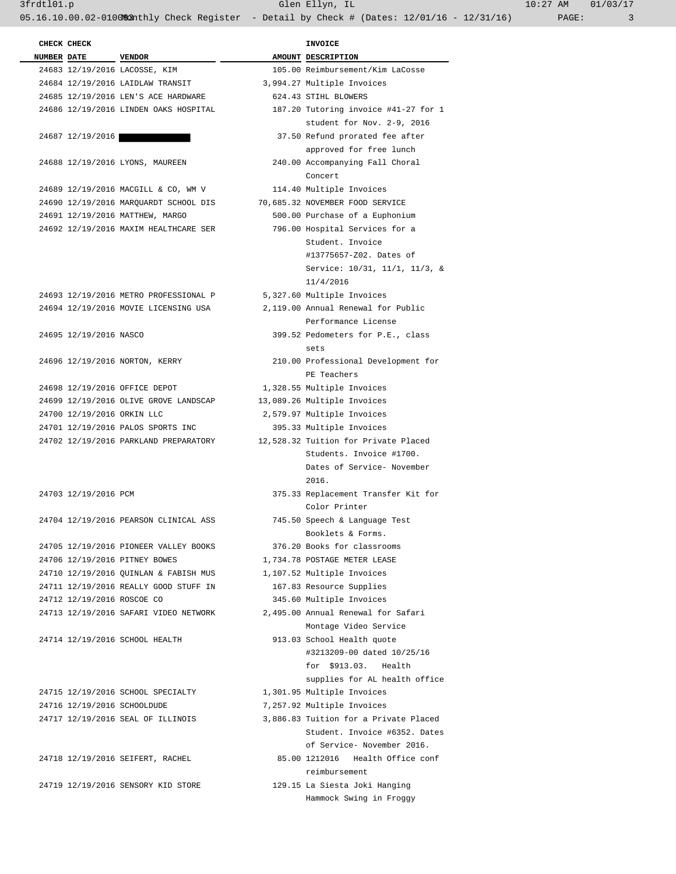3frdtl01.p Glen Ellyn, IL 10:27 AM 01/03/17 05.16.10.00.02-010083 athly Check Register - Detail by Check # (Dates: 12/01/16 - 12/31/16) PAGE: 3

| CHECK CHECK                |                                       | <b>INVOICE</b>                        |
|----------------------------|---------------------------------------|---------------------------------------|
| <b>NUMBER DATE</b>         | <b>VENDOR</b>                         | AMOUNT DESCRIPTION                    |
|                            | 24683 12/19/2016 LACOSSE, KIM         | 105.00 Reimbursement/Kim LaCosse      |
|                            | 24684 12/19/2016 LAIDLAW TRANSIT      | 3,994.27 Multiple Invoices            |
|                            | 24685 12/19/2016 LEN'S ACE HARDWARE   | 624.43 STIHL BLOWERS                  |
|                            | 24686 12/19/2016 LINDEN OAKS HOSPITAL | 187.20 Tutoring invoice #41-27 for 1  |
|                            |                                       | student for Nov. 2-9, 2016            |
| 24687 12/19/2016           |                                       | 37.50 Refund prorated fee after       |
|                            |                                       | approved for free lunch               |
|                            | 24688 12/19/2016 LYONS, MAUREEN       | 240.00 Accompanying Fall Choral       |
|                            |                                       | Concert                               |
|                            | 24689 12/19/2016 MACGILL & CO, WM V   | 114.40 Multiple Invoices              |
|                            | 24690 12/19/2016 MARQUARDT SCHOOL DIS | 70,685.32 NOVEMBER FOOD SERVICE       |
|                            | 24691 12/19/2016 MATTHEW, MARGO       | 500.00 Purchase of a Euphonium        |
|                            | 24692 12/19/2016 MAXIM HEALTHCARE SER | 796.00 Hospital Services for a        |
|                            |                                       | Student. Invoice                      |
|                            |                                       | #13775657-Z02. Dates of               |
|                            |                                       | Service: 10/31, 11/1, 11/3, &         |
|                            |                                       | 11/4/2016                             |
|                            | 24693 12/19/2016 METRO PROFESSIONAL P | 5,327.60 Multiple Invoices            |
|                            | 24694 12/19/2016 MOVIE LICENSING USA  | 2,119.00 Annual Renewal for Public    |
|                            |                                       | Performance License                   |
| 24695 12/19/2016 NASCO     |                                       | 399.52 Pedometers for P.E., class     |
|                            |                                       | sets                                  |
|                            | 24696 12/19/2016 NORTON, KERRY        | 210.00 Professional Development for   |
|                            |                                       | PE Teachers                           |
|                            | 24698 12/19/2016 OFFICE DEPOT         | 1,328.55 Multiple Invoices            |
|                            | 24699 12/19/2016 OLIVE GROVE LANDSCAP | 13,089.26 Multiple Invoices           |
| 24700 12/19/2016 ORKIN LLC |                                       | 2,579.97 Multiple Invoices            |
|                            | 24701 12/19/2016 PALOS SPORTS INC     | 395.33 Multiple Invoices              |
|                            | 24702 12/19/2016 PARKLAND PREPARATORY | 12,528.32 Tuition for Private Placed  |
|                            |                                       | Students. Invoice #1700.              |
|                            |                                       | Dates of Service- November            |
|                            |                                       | 2016.                                 |
| 24703 12/19/2016 PCM       |                                       | 375.33 Replacement Transfer Kit for   |
|                            |                                       | Color Printer                         |
|                            | 24704 12/19/2016 PEARSON CLINICAL ASS | 745.50 Speech & Language Test         |
|                            |                                       | Booklets & Forms.                     |
|                            | 24705 12/19/2016 PIONEER VALLEY BOOKS | 376.20 Books for classrooms           |
|                            | 24706 12/19/2016 PITNEY BOWES         | 1,734.78 POSTAGE METER LEASE          |
|                            | 24710 12/19/2016 OUINLAN & FABISH MUS | 1,107.52 Multiple Invoices            |
|                            | 24711 12/19/2016 REALLY GOOD STUFF IN | 167.83 Resource Supplies              |
| 24712 12/19/2016 ROSCOE CO |                                       | 345.60 Multiple Invoices              |
|                            | 24713 12/19/2016 SAFARI VIDEO NETWORK | 2,495.00 Annual Renewal for Safari    |
|                            |                                       | Montage Video Service                 |
|                            | 24714 12/19/2016 SCHOOL HEALTH        | 913.03 School Health quote            |
|                            |                                       | #3213209-00 dated 10/25/16            |
|                            |                                       | for \$913.03. Health                  |
|                            |                                       | supplies for AL health office         |
|                            | 24715 12/19/2016 SCHOOL SPECIALTY     | 1,301.95 Multiple Invoices            |
|                            | 24716 12/19/2016 SCHOOLDUDE           | 7,257.92 Multiple Invoices            |
|                            | 24717 12/19/2016 SEAL OF ILLINOIS     | 3,886.83 Tuition for a Private Placed |
|                            |                                       | Student. Invoice #6352. Dates         |
|                            |                                       | of Service- November 2016.            |
|                            | 24718 12/19/2016 SEIFERT, RACHEL      | 85.00 1212016 Health Office conf      |
|                            |                                       | reimbursement                         |
|                            | 24719 12/19/2016 SENSORY KID STORE    |                                       |
|                            |                                       | 129.15 La Siesta Joki Hanging         |
|                            |                                       | Hammock Swing in Froggy               |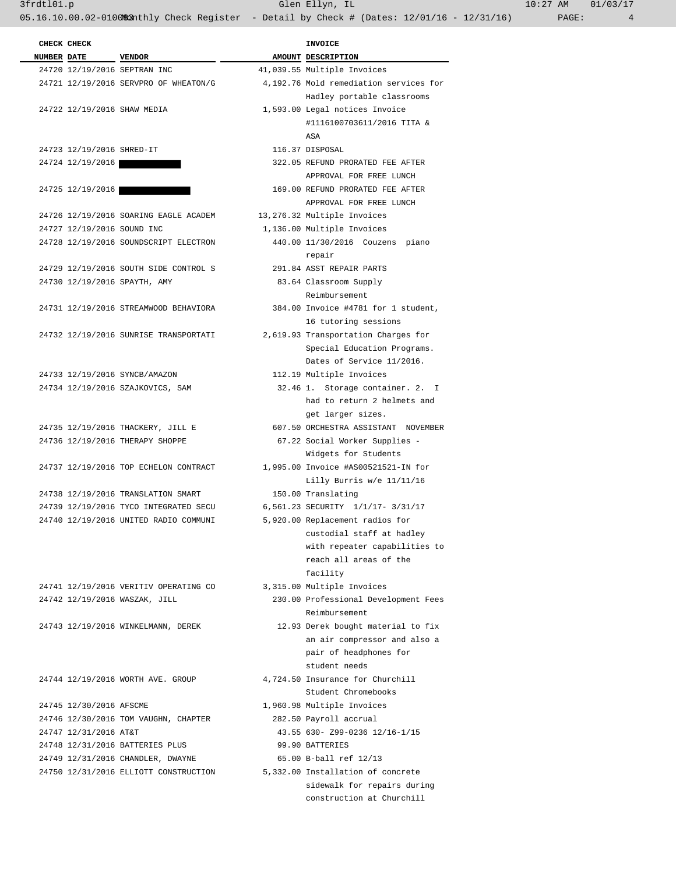3frdtl01.p Glen Ellyn, IL 10:27 AM 01/03/17

05.16.10.00.02-010083nthly Check Register - Detail by Check # (Dates: 12/01/16 - 12/31/16) PAGE: 4

| CHECK CHECK                |                                       | <b>INVOICE</b>                         |
|----------------------------|---------------------------------------|----------------------------------------|
| NUMBER DATE VENDOR         |                                       | AMOUNT DESCRIPTION                     |
|                            | 24720 12/19/2016 SEPTRAN INC          | 41,039.55 Multiple Invoices            |
|                            | 24721 12/19/2016 SERVPRO OF WHEATON/G | 4,192.76 Mold remediation services for |
|                            |                                       | Hadley portable classrooms             |
|                            | 24722 12/19/2016 SHAW MEDIA           | 1,593.00 Legal notices Invoice         |
|                            |                                       | #1116100703611/2016 TITA &             |
|                            |                                       | ASA                                    |
| 24723 12/19/2016 SHRED-IT  |                                       | 116.37 DISPOSAL                        |
| 24724 12/19/2016           |                                       | 322.05 REFUND PRORATED FEE AFTER       |
|                            |                                       | APPROVAL FOR FREE LUNCH                |
| 24725 12/19/2016           |                                       | 169.00 REFUND PRORATED FEE AFTER       |
|                            |                                       | APPROVAL FOR FREE LUNCH                |
|                            | 24726 12/19/2016 SOARING EAGLE ACADEM | 13,276.32 Multiple Invoices            |
| 24727 12/19/2016 SOUND INC |                                       | 1,136.00 Multiple Invoices             |
|                            | 24728 12/19/2016 SOUNDSCRIPT ELECTRON | 440.00 11/30/2016 Couzens piano        |
|                            |                                       | repair                                 |
|                            | 24729 12/19/2016 SOUTH SIDE CONTROL S | 291.84 ASST REPAIR PARTS               |
|                            | 24730 12/19/2016 SPAYTH, AMY          | 83.64 Classroom Supply                 |
|                            |                                       | Reimbursement                          |
|                            | 24731 12/19/2016 STREAMWOOD BEHAVIORA | 384.00 Invoice #4781 for 1 student,    |
|                            |                                       | 16 tutoring sessions                   |
|                            | 24732 12/19/2016 SUNRISE TRANSPORTATI | 2,619.93 Transportation Charges for    |
|                            |                                       | Special Education Programs.            |
|                            |                                       | Dates of Service 11/2016.              |
|                            | 24733 12/19/2016 SYNCB/AMAZON         | 112.19 Multiple Invoices               |
|                            | 24734 12/19/2016 SZAJKOVICS, SAM      | 32.46 1. Storage container. 2. I       |
|                            |                                       | had to return 2 helmets and            |
|                            |                                       | get larger sizes.                      |
|                            | 24735 12/19/2016 THACKERY, JILL E     | 607.50 ORCHESTRA ASSISTANT NOVEMBER    |
|                            | 24736 12/19/2016 THERAPY SHOPPE       | 67.22 Social Worker Supplies -         |
|                            |                                       | Widgets for Students                   |
|                            | 24737 12/19/2016 TOP ECHELON CONTRACT | 1,995.00 Invoice #AS00521521-IN for    |
|                            |                                       | Lilly Burris w/e 11/11/16              |
|                            | 24738 12/19/2016 TRANSLATION SMART    | 150.00 Translating                     |
|                            | 24739 12/19/2016 TYCO INTEGRATED SECU | 6,561.23 SECURITY 1/1/17- 3/31/17      |
|                            | 24740 12/19/2016 UNITED RADIO COMMUNI | 5,920.00 Replacement radios for        |
|                            |                                       | custodial staff at hadley              |
|                            |                                       | with repeater capabilities to          |
|                            |                                       | reach all areas of the                 |
|                            |                                       | facility                               |
|                            | 24741 12/19/2016 VERITIV OPERATING CO | 3,315.00 Multiple Invoices             |
|                            | 24742 12/19/2016 WASZAK, JILL         | 230.00 Professional Development Fees   |
|                            |                                       | Reimbursement                          |
|                            | 24743 12/19/2016 WINKELMANN, DEREK    | 12.93 Derek bought material to fix     |
|                            |                                       | an air compressor and also a           |
|                            |                                       | pair of headphones for                 |
|                            |                                       | student needs                          |
|                            | 24744 12/19/2016 WORTH AVE. GROUP     | 4,724.50 Insurance for Churchill       |
|                            |                                       | Student Chromebooks                    |
| 24745 12/30/2016 AFSCME    |                                       | 1,960.98 Multiple Invoices             |
|                            | 24746 12/30/2016 TOM VAUGHN, CHAPTER  | 282.50 Payroll accrual                 |
|                            |                                       |                                        |
| 24747 12/31/2016 AT&T      |                                       | 43.55 630- Z99-0236 12/16-1/15         |
|                            | 24748 12/31/2016 BATTERIES PLUS       | 99.90 BATTERIES                        |
|                            | 24749 12/31/2016 CHANDLER, DWAYNE     | 65.00 B-ball ref 12/13                 |
|                            | 24750 12/31/2016 ELLIOTT CONSTRUCTION | 5,332.00 Installation of concrete      |
|                            |                                       | sidewalk for repairs during            |
|                            |                                       | construction at Churchill              |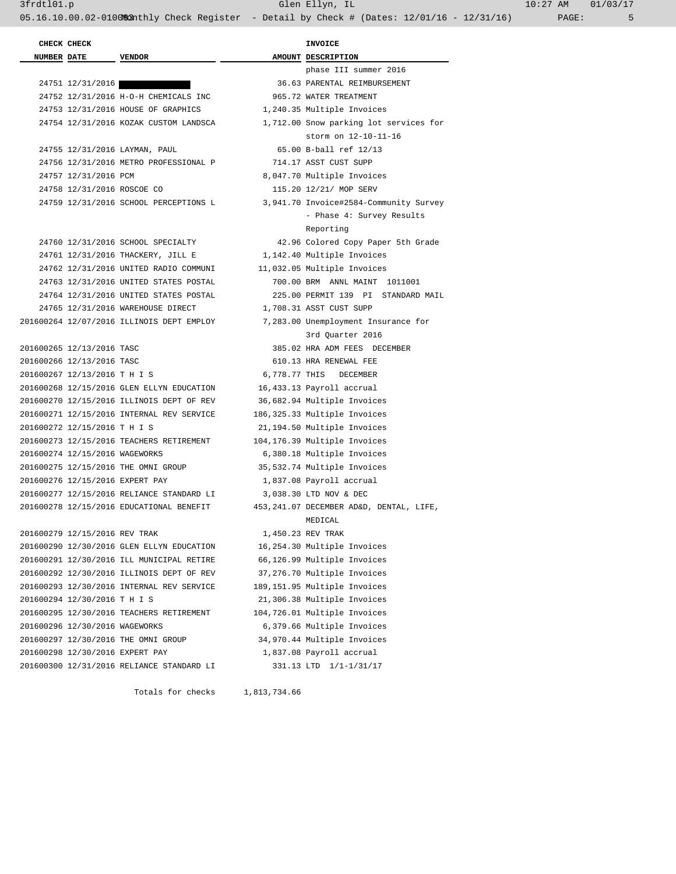3frdtl01.p Glen Ellyn, IL 10:27 AM 01/03/17

05.16.10.00.02-0100&2nthly Check Register - Detail by Check # (Dates: 12/01/16 - 12/31/16) PAGE: 5

 **CHECK CHECK INVOICE NUMBER** DATE VENDOR **AMOUNT** DESCRIPTION phase III summer 2016 24751 12/31/2016 36.63 PARENTAL REIMBURSEMENT 24752 12/31/2016 H-O-H CHEMICALS INC 965.72 WATER TREATMENT 24753 12/31/2016 HOUSE OF GRAPHICS 1,240.35 Multiple Invoices 24754 12/31/2016 KOZAK CUSTOM LANDSCA 1,712.00 Snow parking lot services for storm on 12-10-11-16 24755 12/31/2016 LAYMAN, PAUL 65.00 B-ball ref 12/13 24756 12/31/2016 METRO PROFESSIONAL P 714.17 ASST CUST SUPP 24757 12/31/2016 PCM 8,047.70 Multiple Invoices 24758 12/31/2016 ROSCOE CO 115.20 12/21/ MOP SERV 24759 12/31/2016 SCHOOL PERCEPTIONS L 3,941.70 Invoice#2584-Community Survey - Phase 4: Survey Results Reporting 24760 12/31/2016 SCHOOL SPECIALTY 42.96 Colored Copy Paper 5th Grade 24761 12/31/2016 THACKERY, JILL E 1,142.40 Multiple Invoices 24762 12/31/2016 UNITED RADIO COMMUNI 11,032.05 Multiple Invoices 24763 12/31/2016 UNITED STATES POSTAL 700.00 BRM ANNL MAINT 1011001 24764 12/31/2016 UNITED STATES POSTAL 225.00 PERMIT 139 PI STANDARD MAIL 24765 12/31/2016 WAREHOUSE DIRECT 1,708.31 ASST CUST SUPP 201600264 12/07/2016 ILLINOIS DEPT EMPLOY 7,283.00 Unemployment Insurance for 3rd Quarter 2016 201600265 12/13/2016 TASC 385.02 HRA ADM FEES DECEMBER 201600266 12/13/2016 TASC 610.13 HRA RENEWAL FEE 201600267 12/13/2016 T H I S 6,778.77 THIS DECEMBER 201600268 12/15/2016 GLEN ELLYN EDUCATION 16,433.13 Payroll accrual 201600270 12/15/2016 ILLINOIS DEPT OF REV 36,682.94 Multiple Invoices 201600271 12/15/2016 INTERNAL REV SERVICE 186,325.33 Multiple Invoices 201600272 12/15/2016 T H I S 21,194.50 Multiple Invoices 201600273 12/15/2016 TEACHERS RETIREMENT 104,176.39 Multiple Invoices 201600274 12/15/2016 WAGEWORKS 6,380.18 Multiple Invoices 201600275 12/15/2016 THE OMNI GROUP 35,532.74 Multiple Invoices 201600276 12/15/2016 EXPERT PAY 1,837.08 Payroll accrual 201600277 12/15/2016 RELIANCE STANDARD LI 3,038.30 LTD NOV & DEC 201600278 12/15/2016 EDUCATIONAL BENEFIT 453,241.07 DECEMBER AD&D, DENTAL, LIFE, MEDICAL 201600279 12/15/2016 REV TRAK 1,450.23 REV TRAK 201600290 12/30/2016 GLEN ELLYN EDUCATION 16,254.30 Multiple Invoices 201600291 12/30/2016 ILL MUNICIPAL RETIRE 66,126.99 Multiple Invoices 201600292 12/30/2016 ILLINOIS DEPT OF REV 37,276.70 Multiple Invoices 201600293 12/30/2016 INTERNAL REV SERVICE 189,151.95 Multiple Invoices 201600294 12/30/2016 T H I S 21,306.38 Multiple Invoices 201600295 12/30/2016 TEACHERS RETIREMENT 104,726.01 Multiple Invoices 201600296 12/30/2016 WAGEWORKS 6,379.66 Multiple Invoices 201600297 12/30/2016 THE OMNI GROUP 34,970.44 Multiple Invoices 201600298 12/30/2016 EXPERT PAY 1,837.08 Payroll accrual 201600300 12/31/2016 RELIANCE STANDARD LI 331.13 LTD 1/1-1/31/17

Totals for checks 1,813,734.66